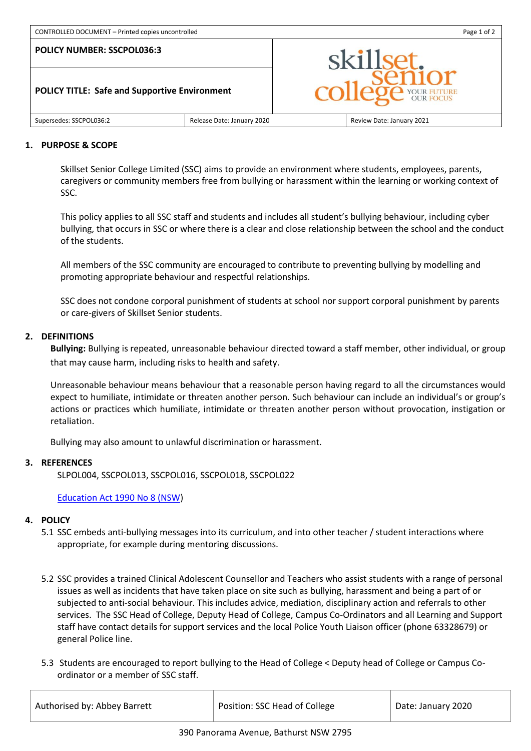# **POLICY TITLE: Safe and Supportive Environment**



#### Supersedes: SSCPOL036:2 Release Date: January 2020 Review Date: January 2021

#### **1. PURPOSE & SCOPE**

Skillset Senior College Limited (SSC) aims to provide an environment where students, employees, parents, caregivers or community members free from bullying or harassment within the learning or working context of SSC.

This policy applies to all SSC staff and students and includes all student's bullying behaviour, including cyber bullying, that occurs in SSC or where there is a clear and close relationship between the school and the conduct of the students.

All members of the SSC community are encouraged to contribute to preventing bullying by modelling and promoting appropriate behaviour and respectful relationships.

SSC does not condone corporal punishment of students at school nor support corporal punishment by parents or care-givers of Skillset Senior students.

# **2. DEFINITIONS**

**Bullying:** Bullying is repeated, unreasonable behaviour directed toward a staff member, other individual, or group that may cause harm, including risks to health and safety.

Unreasonable behaviour means behaviour that a reasonable person having regard to all the circumstances would expect to humiliate, intimidate or threaten another person. Such behaviour can include an individual's or group's actions or practices which humiliate, intimidate or threaten another person without provocation, instigation or retaliation.

Bullying may also amount to unlawful discrimination or harassment.

# **3. REFERENCES**

SLPOL004, SSCPOL013, SSCPOL016, SSCPOL018, SSCPOL022

# [Education Act 1990 No 8 \(NSW\)](http://www.legislation.nsw.gov.au/)

# **4. POLICY**

- 5.1 SSC embeds anti-bullying messages into its curriculum, and into other teacher / student interactions where appropriate, for example during mentoring discussions.
- 5.2 SSC provides a trained Clinical Adolescent Counsellor and Teachers who assist students with a range of personal issues as well as incidents that have taken place on site such as bullying, harassment and being a part of or subjected to anti-social behaviour. This includes advice, mediation, disciplinary action and referrals to other services. The SSC Head of College, Deputy Head of College, Campus Co-Ordinators and all Learning and Support staff have contact details for support services and the local Police Youth Liaison officer (phone 63328679) or general Police line.
- 5.3 Students are encouraged to report bullying to the Head of College < Deputy head of College or Campus Coordinator or a member of SSC staff.

| Authorised by: Abbey Barrett | Position: SSC Head of College | Date: January 2020 |
|------------------------------|-------------------------------|--------------------|
|                              |                               |                    |